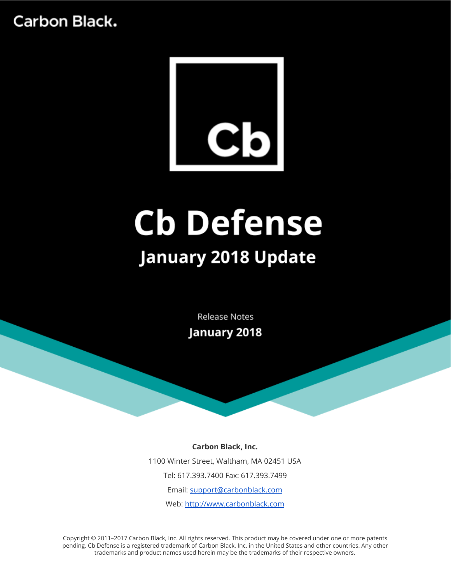

# **Cb Defense January 2018 Update**

**Release Notes** January 2018

#### **Carbon Black, Inc.**

1100 Winter Street, Waltham, MA 02451 USA Tel: 617.393.7400 Fax: 617.393.7499 Email: [support@carbonblack.com](mailto:support@carbonblack.com) Web: [http://www.carbonblack.com](http://www.carbonblack.com/)

Copyright © 2011–2017 Carbon Black, Inc. All rights reserved. This product may be covered under one or more patents pending. Cb Defense is a registered trademark of Carbon Black, Inc. in the United States and other countries. Any other trademarks and product names used herein may be the trademarks of their respective owners.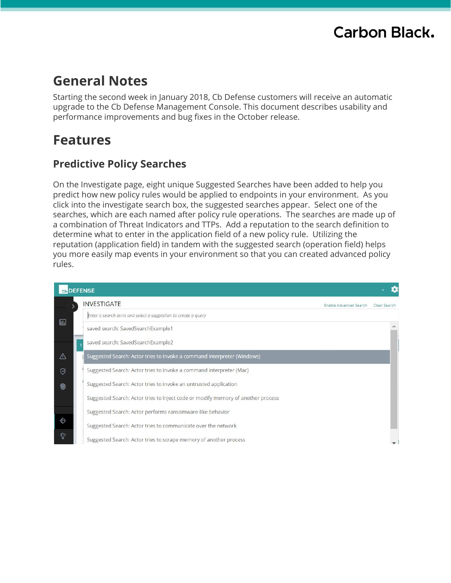### **General Notes**

Starting the second week in January 2018, Cb Defense customers will receive an automatic upgrade to the Cb Defense Management Console. This document describes usability and performance improvements and bug fixes in the October release.

### **Features**

### **Predictive Policy Searches**

On the Investigate page, eight unique Suggested Searches have been added to help you predict how new policy rules would be applied to endpoints in your environment. As you click into the investigate search box, the suggested searches appear. Select one of the searches, which are each named after policy rule operations. The searches are made up of a combination of Threat Indicators and TTPs. Add a reputation to the search definition to determine what to enter in the application field of a new policy rule. Utilizing the reputation (application field) in tandem with the suggested search (operation field) helps you more easily map events in your environment so that you can created advanced policy rules.

|                                              | Cb DEFENSE                                                                       |  |  |
|----------------------------------------------|----------------------------------------------------------------------------------|--|--|
| <b>INVESTIGATE</b><br>Enable Advanced Search |                                                                                  |  |  |
| $\Box$                                       | Enter a search term and select a suggestion to create a query                    |  |  |
|                                              | saved search: SavedSearchExample1                                                |  |  |
|                                              | saved search: SavedSearchExample2                                                |  |  |
| $\triangle$                                  | Suggested Search: Actor tries to invoke a command interpreter (Windows)          |  |  |
| ♡                                            | Suggested Search: Actor tries to invoke a command interpreter (Mac)              |  |  |
| 笏                                            | Suggested Search: Actor tries to invoke an untrusted application                 |  |  |
|                                              | Suggested Search: Actor tries to inject code or modify memory of another process |  |  |
|                                              | Suggested Search: Actor performs ransomware-like behavior                        |  |  |
| ♦                                            | Suggested Search: Actor tries to communicate over the network                    |  |  |
| $\ddot{\mathrm{Q}}$                          | Suggested Search: Actor tries to scrape memory of another process                |  |  |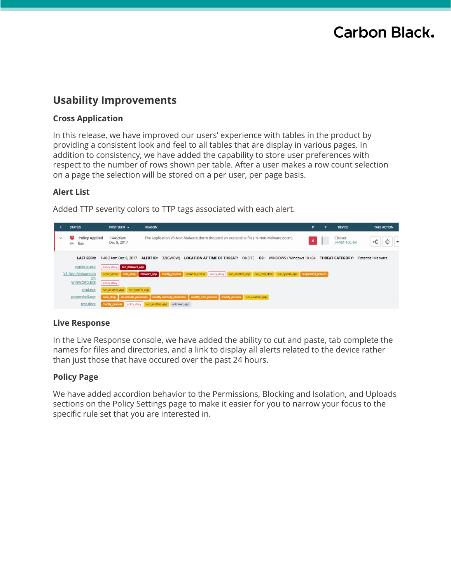### **Usability Improvements**

#### **Cross Application**

In this release, we have improved our users' experience with tables in the product by providing a consistent look and feel to all tables that are display in various pages. In addition to consistency, we have added the capability to store user preferences with respect to the number of rows shown per table. After a user makes a row count selection on a page the selection will be stored on a per user, per page basis.

#### **Alert List**

Added TTP severity colors to TTP tags associated with each alert.



#### **Live Response**

In the Live Response console, we have added the ability to cut and paste, tab complete the names for files and directories, and a link to display all alerts related to the device rather than just those that have occured over the past 24 hours.

#### **Policy Page**

We have added accordion behavior to the Permissions, Blocking and Isolation, and Uploads sections on the Policy Settings page to make it easier for you to narrow your focus to the specific rule set that you are interested in.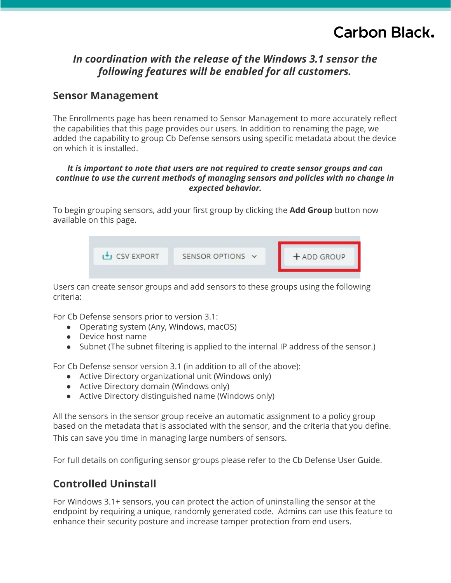### *In coordination with the release of the Windows 3.1 sensor the following features will be enabled for all customers.*

### **Sensor Management**

The Enrollments page has been renamed to Sensor Management to more accurately reflect the capabilities that this page provides our users. In addition to renaming the page, we added the capability to group Cb Defense sensors using specific metadata about the device on which it is installed.

#### *It is important to note that users are not required to create sensor groups and can continue to use the current methods of managing sensors and policies with no change in expected behavior.*

To begin grouping sensors, add your first group by clicking the **Add Group** button now available on this page.



Users can create sensor groups and add sensors to these groups using the following criteria:

For Cb Defense sensors prior to version 3.1:

- Operating system (Any, Windows, macOS)
- Device host name
- Subnet (The subnet filtering is applied to the internal IP address of the sensor.)

For Cb Defense sensor version 3.1 (in addition to all of the above):

- Active Directory organizational unit (Windows only)
- Active Directory domain (Windows only)
- Active Directory distinguished name (Windows only)

All the sensors in the sensor group receive an automatic assignment to a policy group based on the metadata that is associated with the sensor, and the criteria that you define. This can save you time in managing large numbers of sensors.

For full details on configuring sensor groups please refer to the Cb Defense User Guide.

### **Controlled Uninstall**

For Windows 3.1+ sensors, you can protect the action of uninstalling the sensor at the endpoint by requiring a unique, randomly generated code. Admins can use this feature to enhance their security posture and increase tamper protection from end users.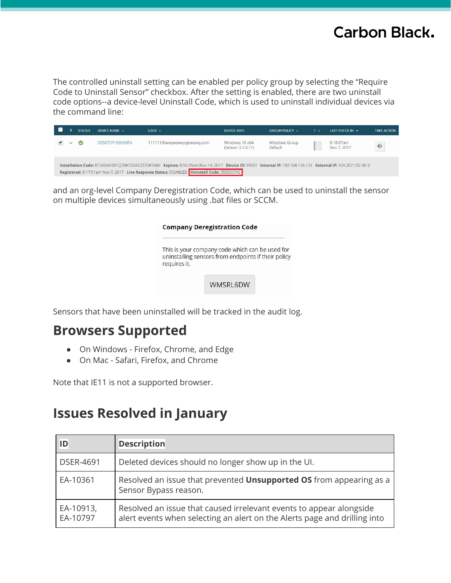The controlled uninstall setting can be enabled per policy group by selecting the "Require Code to Uninstall Sensor" checkbox. After the setting is enabled, there are two uninstall code options--a device-level Uninstall Code, which is used to uninstall individual devices via the command line:

|              | <b>STATUS</b>           | DEVICE NAME *   | USER $\sim$                                                                                                                                                                                                                                              | <b>DEVICE INFO</b>                  | GROUP/POLICY -                  | $T +$ | LAST CHECK-IN -          | <b>TAKE ACTION</b> |
|--------------|-------------------------|-----------------|----------------------------------------------------------------------------------------------------------------------------------------------------------------------------------------------------------------------------------------------------------|-------------------------------------|---------------------------------|-------|--------------------------|--------------------|
| $\checkmark$ | $\overline{\mathbf{v}}$ | DESKTOP-E6N50PA | 111111@weqwewqeqewewq.com                                                                                                                                                                                                                                | Windows 10 x64<br>(Sensor 3.1.0.11) | <b>Windows Group</b><br>default |       | 8:18:07am<br>Nov 7, 2017 | ♦                  |
|              |                         |                 | Installation Code: 8T3K6AH301Q70#7O2AEZ370#7A8X Expires: 8:16:29am Nov 14, 2017 Device ID: 99501 Internal IP: 192.168.136.131 External IP: 104.207.192.98 0<br>Registered: 8:17:51am Nov 7, 2017 Live Response Status: DISABLED Uninstall Code: 35EQCCYG |                                     |                                 |       |                          |                    |

and an org-level Company Deregistration Code, which can be used to uninstall the sensor on multiple devices simultaneously using .bat files or SCCM.

|              | This is your company code which can be used for     |  |
|--------------|-----------------------------------------------------|--|
|              | uninstalling sensors from endpoints if their policy |  |
| requires it. |                                                     |  |

Sensors that have been uninstalled will be tracked in the audit log.

### **Browsers Supported**

- On Windows Firefox, Chrome, and Edge
- On Mac Safari, Firefox, and Chrome

Note that IE11 is not a supported browser.

### **Issues Resolved in January**

| ID                    | <b>Description</b>                                                                                                                               |
|-----------------------|--------------------------------------------------------------------------------------------------------------------------------------------------|
| <b>DSER-4691</b>      | Deleted devices should no longer show up in the UI.                                                                                              |
| EA-10361              | Resolved an issue that prevented <b>Unsupported OS</b> from appearing as a<br>Sensor Bypass reason.                                              |
| EA-10913,<br>EA-10797 | Resolved an issue that caused irrelevant events to appear alongside<br>alert events when selecting an alert on the Alerts page and drilling into |